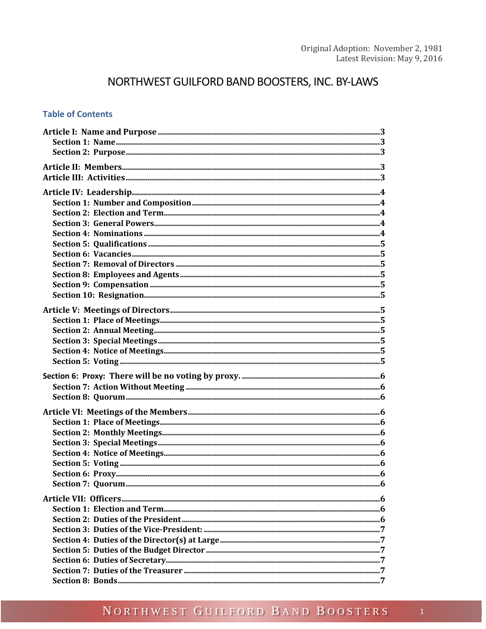# NORTHWEST GUILFORD BAND BOOSTERS, INC. BY-LAWS

#### **Table of Contents**

# NORTHWEST GUILFORD BAND BOOSTERS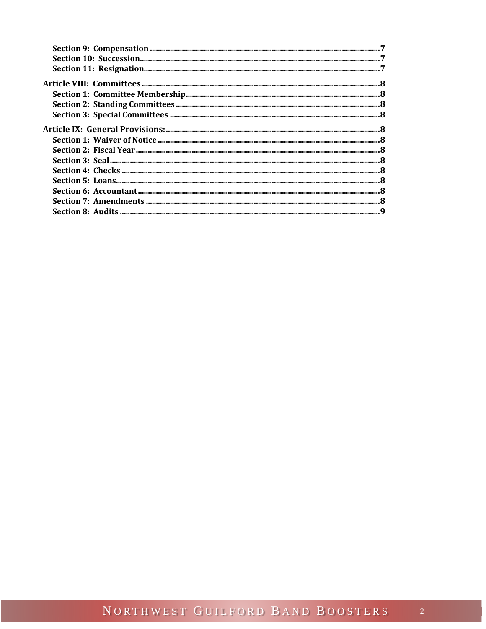<span id="page-1-0"></span>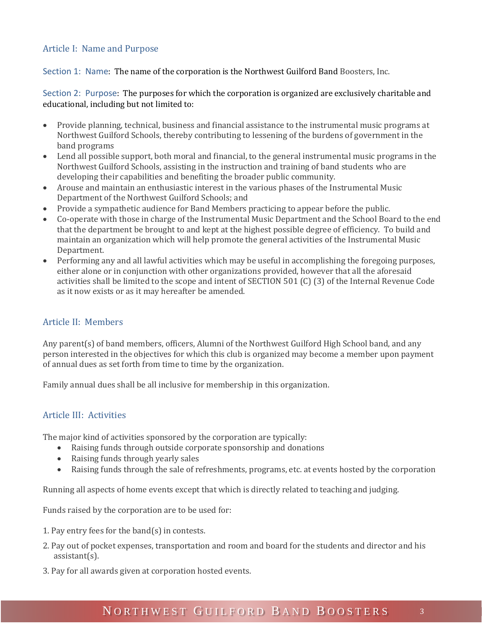#### Article I: Name and Purpose

<span id="page-2-0"></span>Section 1: Name: The name of the corporation is the Northwest Guilford Band Boosters, Inc.

<span id="page-2-1"></span>Section 2: Purpose: The purposes for which the corporation is organized are exclusively charitable and educational, including but not limited to:

- Provide planning, technical, business and financial assistance to the instrumental music programs at Northwest Guilford Schools, thereby contributing to lessening of the burdens of government in the band programs
- Lend all possible support, both moral and financial, to the general instrumental music programs in the Northwest Guilford Schools, assisting in the instruction and training of band students who are developing their capabilities and benefiting the broader public community.
- Arouse and maintain an enthusiastic interest in the various phases of the Instrumental Music Department of the Northwest Guilford Schools; and
- Provide a sympathetic audience for Band Members practicing to appear before the public.
- Co-operate with those in charge of the Instrumental Music Department and the School Board to the end that the department be brought to and kept at the highest possible degree of efficiency. To build and maintain an organization which will help promote the general activities of the Instrumental Music Department.
- Performing any and all lawful activities which may be useful in accomplishing the foregoing purposes, either alone or in conjunction with other organizations provided, however that all the aforesaid activities shall be limited to the scope and intent of SECTION 501 (C) (3) of the Internal Revenue Code as it now exists or as it may hereafter be amended.

## <span id="page-2-2"></span>Article II: Members

Any parent(s) of band members, officers, Alumni of the Northwest Guilford High School band, and any person interested in the objectives for which this club is organized may become a member upon payment of annual dues as set forth from time to time by the organization.

Family annual dues shall be all inclusive for membership in this organization.

## <span id="page-2-3"></span>Article III: Activities

The major kind of activities sponsored by the corporation are typically:

- Raising funds through outside corporate sponsorship and donations
- Raising funds through yearly sales
- Raising funds through the sale of refreshments, programs, etc. at events hosted by the corporation

Running all aspects of home events except that which is directly related to teaching and judging.

Funds raised by the corporation are to be used for:

- 1. Pay entry fees for the band(s) in contests.
- 2. Pay out of pocket expenses, transportation and room and board for the students and director and his assistant(s).
- 3. Pay for all awards given at corporation hosted events.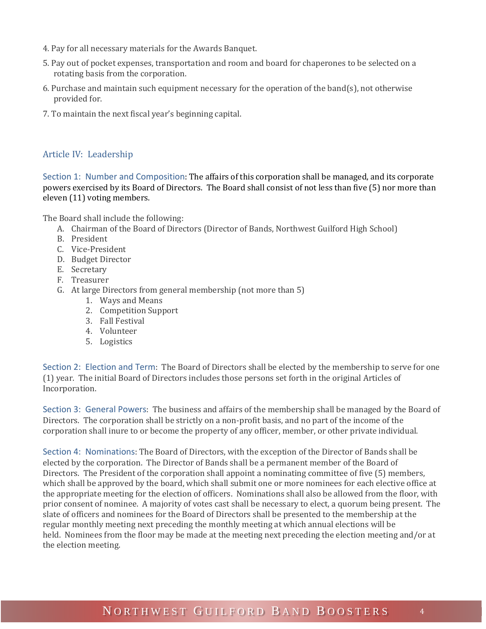- 4. Pay for all necessary materials for the Awards Banquet.
- 5. Pay out of pocket expenses, transportation and room and board for chaperones to be selected on a rotating basis from the corporation.
- 6. Purchase and maintain such equipment necessary for the operation of the band(s), not otherwise provided for.
- 7. To maintain the next fiscal year's beginning capital.

#### <span id="page-3-0"></span>Article IV: Leadership

<span id="page-3-1"></span>Section 1: Number and Composition: The affairs of this corporation shall be managed, and its corporate powers exercised by its Board of Directors. The Board shall consist of not less than five (5) nor more than eleven (11) voting members.

The Board shall include the following:

- A. Chairman of the Board of Directors (Director of Bands, Northwest Guilford High School)
- B. President
- C. Vice-President
- D. Budget Director
- E. Secretary
- F. Treasurer
- G. At large Directors from general membership (not more than 5)
	- 1. Ways and Means
	- 2. Competition Support
	- 3. Fall Festival
	- 4. Volunteer
	- 5. Logistics

<span id="page-3-2"></span>Section 2: Election and Term: The Board of Directors shall be elected by the membership to serve for one (1) year. The initial Board of Directors includes those persons set forth in the original Articles of Incorporation.

<span id="page-3-3"></span>Section 3: General Powers: The business and affairs of the membership shall be managed by the Board of Directors. The corporation shall be strictly on a non-profit basis, and no part of the income of the corporation shall inure to or become the property of any officer, member, or other private individual.

<span id="page-3-4"></span>Section 4: Nominations: The Board of Directors, with the exception of the Director of Bands shall be elected by the corporation. The Director of Bands shall be a permanent member of the Board of Directors. The President of the corporation shall appoint a nominating committee of five (5) members, which shall be approved by the board, which shall submit one or more nominees for each elective office at the appropriate meeting for the election of officers. Nominations shall also be allowed from the floor, with prior consent of nominee. A majority of votes cast shall be necessary to elect, a quorum being present. The slate of officers and nominees for the Board of Directors shall be presented to the membership at the regular monthly meeting next preceding the monthly meeting at which annual elections will be held. Nominees from the floor may be made at the meeting next preceding the election meeting and/or at the election meeting.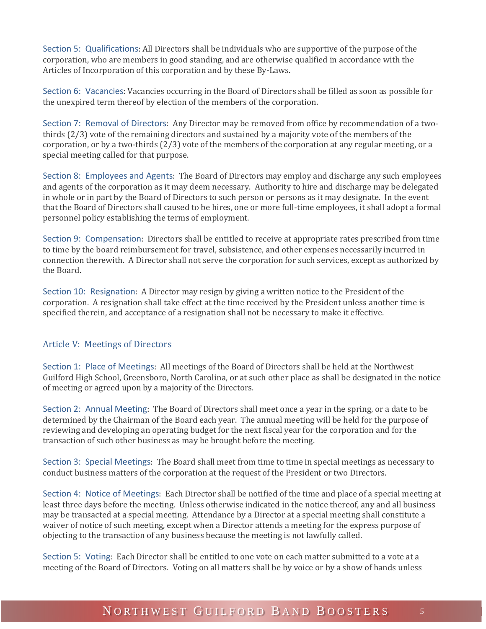<span id="page-4-0"></span>Section 5: Qualifications: All Directors shall be individuals who are supportive of the purpose of the corporation, who are members in good standing, and are otherwise qualified in accordance with the Articles of Incorporation of this corporation and by these By-Laws.

<span id="page-4-1"></span>Section 6: Vacancies: Vacancies occurring in the Board of Directors shall be filled as soon as possible for the unexpired term thereof by election of the members of the corporation.

<span id="page-4-2"></span>Section 7: Removal of Directors: Any Director may be removed from office by recommendation of a twothirds (2/3) vote of the remaining directors and sustained by a majority vote of the members of the corporation, or by a two-thirds (2/3) vote of the members of the corporation at any regular meeting, or a special meeting called for that purpose.

<span id="page-4-3"></span>Section 8: Employees and Agents: The Board of Directors may employ and discharge any such employees and agents of the corporation as it may deem necessary. Authority to hire and discharge may be delegated in whole or in part by the Board of Directors to such person or persons as it may designate. In the event that the Board of Directors shall caused to be hires, one or more full-time employees, it shall adopt a formal personnel policy establishing the terms of employment.

<span id="page-4-4"></span>Section 9: Compensation: Directors shall be entitled to receive at appropriate rates prescribed from time to time by the board reimbursement for travel, subsistence, and other expenses necessarily incurred in connection therewith. A Director shall not serve the corporation for such services, except as authorized by the Board.

<span id="page-4-5"></span>Section 10: Resignation: A Director may resign by giving a written notice to the President of the corporation. A resignation shall take effect at the time received by the President unless another time is specified therein, and acceptance of a resignation shall not be necessary to make it effective.

#### <span id="page-4-6"></span>Article V: Meetings of Directors

<span id="page-4-7"></span>Section 1: Place of Meetings: All meetings of the Board of Directors shall be held at the Northwest Guilford High School, Greensboro, North Carolina, or at such other place as shall be designated in the notice of meeting or agreed upon by a majority of the Directors.

<span id="page-4-8"></span>Section 2: Annual Meeting: The Board of Directors shall meet once a year in the spring, or a date to be determined by the Chairman of the Board each year. The annual meeting will be held for the purpose of reviewing and developing an operating budget for the next fiscal year for the corporation and for the transaction of such other business as may be brought before the meeting.

<span id="page-4-9"></span>Section 3: Special Meetings: The Board shall meet from time to time in special meetings as necessary to conduct business matters of the corporation at the request of the President or two Directors.

<span id="page-4-10"></span>Section 4: Notice of Meetings: Each Director shall be notified of the time and place of a special meeting at least three days before the meeting. Unless otherwise indicated in the notice thereof, any and all business may be transacted at a special meeting. Attendance by a Director at a special meeting shall constitute a waiver of notice of such meeting, except when a Director attends a meeting for the express purpose of objecting to the transaction of any business because the meeting is not lawfully called.

<span id="page-4-11"></span>Section 5: Voting: Each Director shall be entitled to one vote on each matter submitted to a vote at a meeting of the Board of Directors. Voting on all matters shall be by voice or by a show of hands unless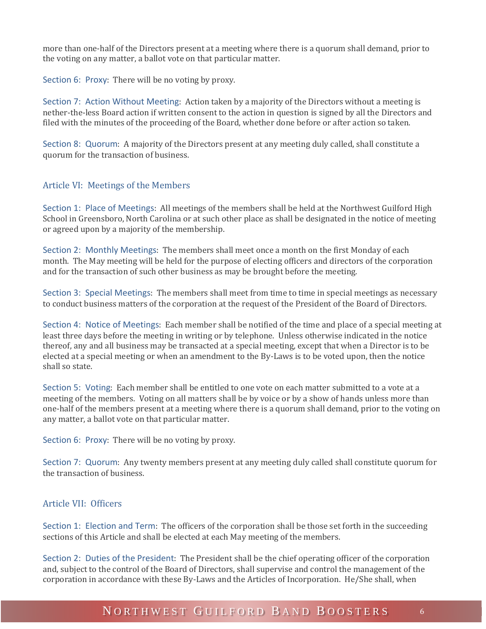more than one-half of the Directors present at a meeting where there is a quorum shall demand, prior to the voting on any matter, a ballot vote on that particular matter.

<span id="page-5-0"></span>Section 6: Proxy: There will be no voting by proxy.

<span id="page-5-1"></span>Section 7: Action Without Meeting: Action taken by a majority of the Directors without a meeting is nether-the-less Board action if written consent to the action in question is signed by all the Directors and filed with the minutes of the proceeding of the Board, whether done before or after action so taken.

<span id="page-5-2"></span>Section 8: Quorum: A majority of the Directors present at any meeting duly called, shall constitute a quorum for the transaction of business.

#### <span id="page-5-3"></span>Article VI: Meetings of the Members

<span id="page-5-4"></span>Section 1: Place of Meetings: All meetings of the members shall be held at the Northwest Guilford High School in Greensboro, North Carolina or at such other place as shall be designated in the notice of meeting or agreed upon by a majority of the membership.

<span id="page-5-5"></span>Section 2: Monthly Meetings: The members shall meet once a month on the first Monday of each month. The May meeting will be held for the purpose of electing officers and directors of the corporation and for the transaction of such other business as may be brought before the meeting.

<span id="page-5-6"></span>Section 3: Special Meetings: The members shall meet from time to time in special meetings as necessary to conduct business matters of the corporation at the request of the President of the Board of Directors.

<span id="page-5-7"></span>Section 4: Notice of Meetings: Each member shall be notified of the time and place of a special meeting at least three days before the meeting in writing or by telephone. Unless otherwise indicated in the notice thereof, any and all business may be transacted at a special meeting, except that when a Director is to be elected at a special meeting or when an amendment to the By-Laws is to be voted upon, then the notice shall so state.

<span id="page-5-8"></span>Section 5: Voting: Each member shall be entitled to one vote on each matter submitted to a vote at a meeting of the members. Voting on all matters shall be by voice or by a show of hands unless more than one-half of the members present at a meeting where there is a quorum shall demand, prior to the voting on any matter, a ballot vote on that particular matter.

<span id="page-5-9"></span>Section 6: Proxy: There will be no voting by proxy.

<span id="page-5-10"></span>Section 7: Quorum: Any twenty members present at any meeting duly called shall constitute quorum for the transaction of business.

#### <span id="page-5-11"></span>Article VII: Officers

<span id="page-5-12"></span>Section 1: Election and Term: The officers of the corporation shall be those set forth in the succeeding sections of this Article and shall be elected at each May meeting of the members.

<span id="page-5-13"></span>Section 2: Duties of the President: The President shall be the chief operating officer of the corporation and, subject to the control of the Board of Directors, shall supervise and control the management of the corporation in accordance with these By-Laws and the Articles of Incorporation. He/She shall, when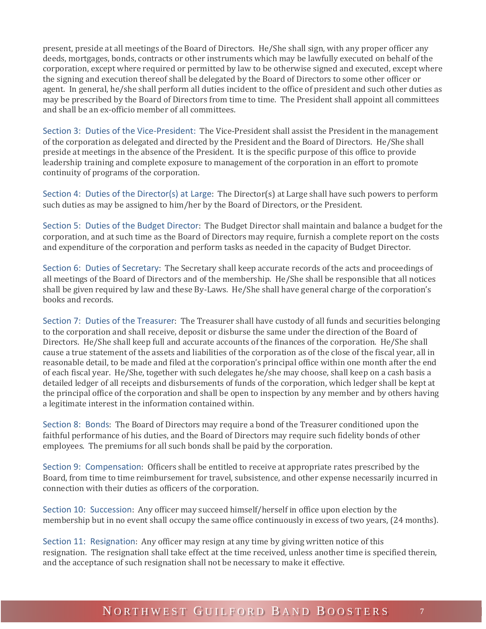present, preside at all meetings of the Board of Directors. He/She shall sign, with any proper officer any deeds, mortgages, bonds, contracts or other instruments which may be lawfully executed on behalf of the corporation, except where required or permitted by law to be otherwise signed and executed, except where the signing and execution thereof shall be delegated by the Board of Directors to some other officer or agent. In general, he/she shall perform all duties incident to the office of president and such other duties as may be prescribed by the Board of Directors from time to time. The President shall appoint all committees and shall be an ex-officio member of all committees.

<span id="page-6-0"></span>Section 3: Duties of the Vice-President: The Vice-President shall assist the President in the management of the corporation as delegated and directed by the President and the Board of Directors. He/She shall preside at meetings in the absence of the President. It is the specific purpose of this office to provide leadership training and complete exposure to management of the corporation in an effort to promote continuity of programs of the corporation.

<span id="page-6-1"></span>Section 4: Duties of the Director(s) at Large: The Director(s) at Large shall have such powers to perform such duties as may be assigned to him/her by the Board of Directors, or the President.

<span id="page-6-2"></span>Section 5: Duties of the Budget Director: The Budget Director shall maintain and balance a budget for the corporation, and at such time as the Board of Directors may require, furnish a complete report on the costs and expenditure of the corporation and perform tasks as needed in the capacity of Budget Director.

<span id="page-6-3"></span>Section 6: Duties of Secretary: The Secretary shall keep accurate records of the acts and proceedings of all meetings of the Board of Directors and of the membership. He/She shall be responsible that all notices shall be given required by law and these By-Laws. He/She shall have general charge of the corporation's books and records.

<span id="page-6-4"></span>Section 7: Duties of the Treasurer: The Treasurer shall have custody of all funds and securities belonging to the corporation and shall receive, deposit or disburse the same under the direction of the Board of Directors. He/She shall keep full and accurate accounts of the finances of the corporation. He/She shall cause a true statement of the assets and liabilities of the corporation as of the close of the fiscal year, all in reasonable detail, to be made and filed at the corporation's principal office within one month after the end of each fiscal year. He/She, together with such delegates he/she may choose, shall keep on a cash basis a detailed ledger of all receipts and disbursements of funds of the corporation, which ledger shall be kept at the principal office of the corporation and shall be open to inspection by any member and by others having a legitimate interest in the information contained within.

<span id="page-6-5"></span>Section 8: Bonds: The Board of Directors may require a bond of the Treasurer conditioned upon the faithful performance of his duties, and the Board of Directors may require such fidelity bonds of other employees. The premiums for all such bonds shall be paid by the corporation.

<span id="page-6-6"></span>Section 9: Compensation: Officers shall be entitled to receive at appropriate rates prescribed by the Board, from time to time reimbursement for travel, subsistence, and other expense necessarily incurred in connection with their duties as officers of the corporation.

<span id="page-6-7"></span>Section 10: Succession: Any officer may succeed himself/herself in office upon election by the membership but in no event shall occupy the same office continuously in excess of two years, (24 months).

<span id="page-6-8"></span>Section 11: Resignation: Any officer may resign at any time by giving written notice of this resignation. The resignation shall take effect at the time received, unless another time is specified therein, and the acceptance of such resignation shall not be necessary to make it effective.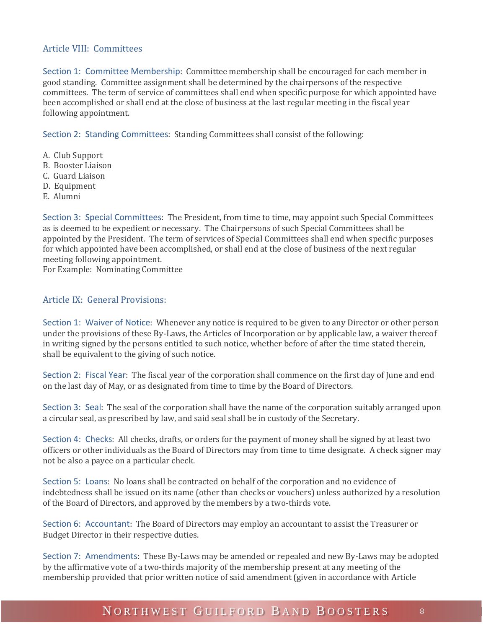#### <span id="page-7-0"></span>Article VIII: Committees

<span id="page-7-1"></span>Section 1: Committee Membership: Committee membership shall be encouraged for each member in good standing. Committee assignment shall be determined by the chairpersons of the respective committees. The term of service of committees shall end when specific purpose for which appointed have been accomplished or shall end at the close of business at the last regular meeting in the fiscal year following appointment.

<span id="page-7-2"></span>Section 2: Standing Committees: Standing Committees shall consist of the following:

- A. Club Support
- B. Booster Liaison
- C. Guard Liaison
- D. Equipment
- E. Alumni

<span id="page-7-3"></span>Section 3: Special Committees: The President, from time to time, may appoint such Special Committees as is deemed to be expedient or necessary. The Chairpersons of such Special Committees shall be appointed by the President. The term of services of Special Committees shall end when specific purposes for which appointed have been accomplished, or shall end at the close of business of the next regular meeting following appointment.

For Example: Nominating Committee

#### <span id="page-7-4"></span>Article IX: General Provisions:

<span id="page-7-5"></span>Section 1: Waiver of Notice: Whenever any notice is required to be given to any Director or other person under the provisions of these By-Laws, the Articles of Incorporation or by applicable law, a waiver thereof in writing signed by the persons entitled to such notice, whether before of after the time stated therein, shall be equivalent to the giving of such notice.

<span id="page-7-6"></span>Section 2: Fiscal Year: The fiscal year of the corporation shall commence on the first day of June and end on the last day of May, or as designated from time to time by the Board of Directors.

<span id="page-7-7"></span>Section 3: Seal: The seal of the corporation shall have the name of the corporation suitably arranged upon a circular seal, as prescribed by law, and said seal shall be in custody of the Secretary.

<span id="page-7-8"></span>Section 4: Checks: All checks, drafts, or orders for the payment of money shall be signed by at least two officers or other individuals as the Board of Directors may from time to time designate. A check signer may not be also a payee on a particular check.

<span id="page-7-9"></span>Section 5: Loans: No loans shall be contracted on behalf of the corporation and no evidence of indebtedness shall be issued on its name (other than checks or vouchers) unless authorized by a resolution of the Board of Directors, and approved by the members by a two-thirds vote.

<span id="page-7-10"></span>Section 6: Accountant: The Board of Directors may employ an accountant to assist the Treasurer or Budget Director in their respective duties.

<span id="page-7-11"></span>Section 7: Amendments: These By-Laws may be amended or repealed and new By-Laws may be adopted by the affirmative vote of a two-thirds majority of the membership present at any meeting of the membership provided that prior written notice of said amendment (given in accordance with Article